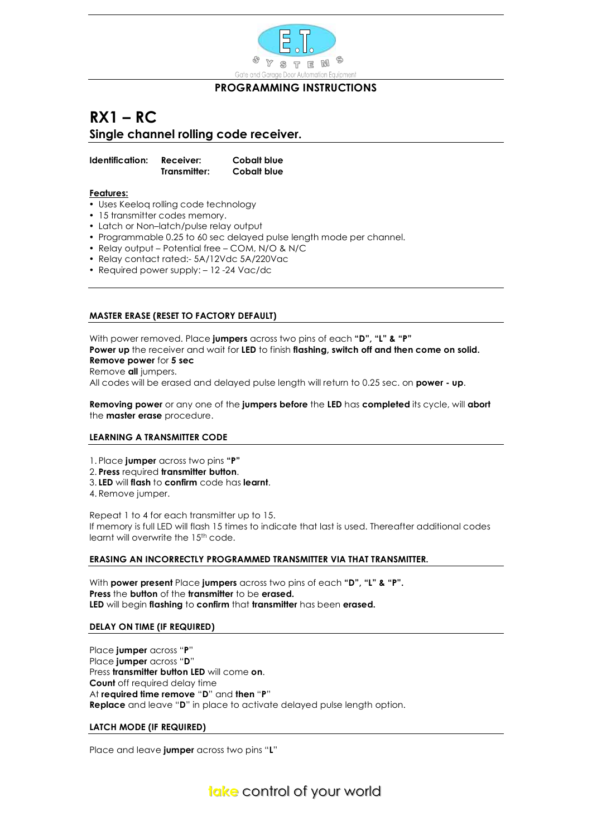

## **PROGRAMMING INSTRUCTIONS**

## **RX1 – RC Single channel rolling code receiver.**

**Identification: Receiver: Cobalt blue Transmitter: Cobalt blue** 

**Features:**

- Uses Keeloq rolling code technology
- 15 transmitter codes memory.
- Latch or Non–latch/pulse relay output
- Programmable 0.25 to 60 sec delayed pulse length mode per channel.
- Relay output Potential free COM, N/O & N/C
- Relay contact rated:- 5A/12Vdc 5A/220Vac
- Required power supply: 12 -24 Vac/dc

## **MASTER ERASE (RESET TO FACTORY DEFAULT)**

With power removed. Place **jumpers** across two pins of each **"D", "L" & "P" Power up** the receiver and wait for **LED** to finish **flashing, switch off and then come on solid. Remove power** for **5 sec**  Remove **all** jumpers. All codes will be erased and delayed pulse length will return to 0.25 sec. on **power - up**.

**Removing power** or any one of the **jumpers before** the **LED** has **completed** its cycle, will **abort** the **master erase** procedure.

## **LEARNING A TRANSMITTER CODE**

- 1. Place **jumper** across two pins **"P"**
- 2. **Press** required **transmitter button**.
- 3. **LED** will **flash** to **confirm** code has **learnt**.
- 4. Remove jumper.

Repeat 1 to 4 for each transmitter up to 15. If memory is full LED will flash 15 times to indicate that last is used. Thereafter additional codes learnt will overwrite the 15<sup>th</sup> code.

## **ERASING AN INCORRECTLY PROGRAMMED TRANSMITTER VIA THAT TRANSMITTER.**

With **power present** Place **jumpers** across two pins of each **"D", "L" & "P". Press** the **button** of the **transmitter** to be **erased. LED** will begin **flashing** to **confirm** that **transmitter** has been **erased.**

## **DELAY ON TIME (IF REQUIRED)**

Place **jumper** across "**P**" Place **jumper** across "**D**" Press **transmitter button LED** will come **on**. **Count** off required delay time At **required time remove** "**D**" and **then** "**P**" **Replace** and leave "**D**" in place to activate delayed pulse length option.

#### **LATCH MODE (IF REQUIRED)**

Place and leave **jumper** across two pins "**L**"